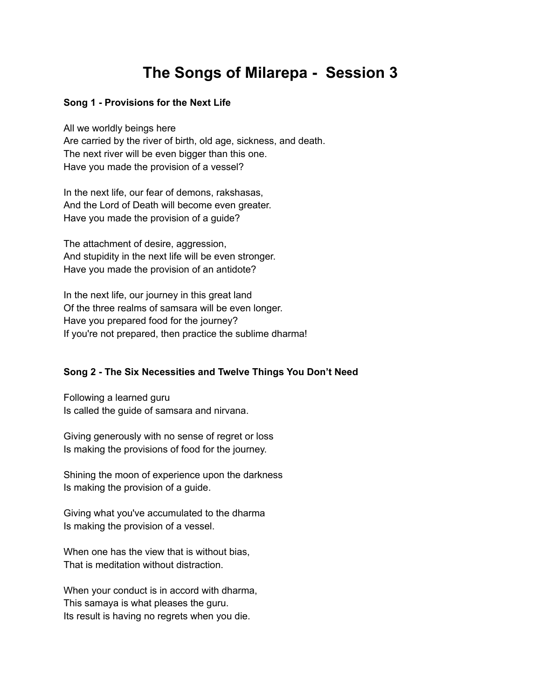## **The Songs of Milarepa - Session 3**

## **Song 1 - Provisions for the Next Life**

All we worldly beings here Are carried by the river of birth, old age, sickness, and death. The next river will be even bigger than this one. Have you made the provision of a vessel?

In the next life, our fear of demons, rakshasas, And the Lord of Death will become even greater. Have you made the provision of a guide?

The attachment of desire, aggression, And stupidity in the next life will be even stronger. Have you made the provision of an antidote?

In the next life, our journey in this great land Of the three realms of samsara will be even longer. Have you prepared food for the journey? If you're not prepared, then practice the sublime dharma!

## **Song 2 - The Six Necessities and Twelve Things You Don't Need**

Following a learned guru Is called the guide of samsara and nirvana.

Giving generously with no sense of regret or loss Is making the provisions of food for the journey.

Shining the moon of experience upon the darkness Is making the provision of a guide.

Giving what you've accumulated to the dharma Is making the provision of a vessel.

When one has the view that is without bias, That is meditation without distraction.

When your conduct is in accord with dharma, This samaya is what pleases the guru. Its result is having no regrets when you die.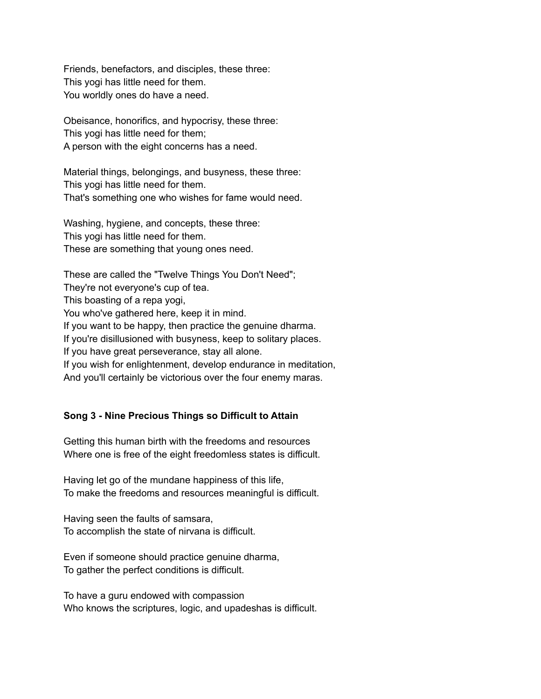Friends, benefactors, and disciples, these three: This yogi has little need for them. You worldly ones do have a need.

Obeisance, honorifics, and hypocrisy, these three: This yogi has little need for them; A person with the eight concerns has a need.

Material things, belongings, and busyness, these three: This yogi has little need for them. That's something one who wishes for fame would need.

Washing, hygiene, and concepts, these three: This yogi has little need for them. These are something that young ones need.

These are called the "Twelve Things You Don't Need"; They're not everyone's cup of tea. This boasting of a repa yogi, You who've gathered here, keep it in mind. If you want to be happy, then practice the genuine dharma. If you're disillusioned with busyness, keep to solitary places. If you have great perseverance, stay all alone. If you wish for enlightenment, develop endurance in meditation, And you'll certainly be victorious over the four enemy maras.

## **Song 3 - Nine Precious Things so Difficult to Attain**

Getting this human birth with the freedoms and resources Where one is free of the eight freedomless states is difficult.

Having let go of the mundane happiness of this life, To make the freedoms and resources meaningful is difficult.

Having seen the faults of samsara, To accomplish the state of nirvana is difficult.

Even if someone should practice genuine dharma, To gather the perfect conditions is difficult.

To have a guru endowed with compassion Who knows the scriptures, logic, and upadeshas is difficult.